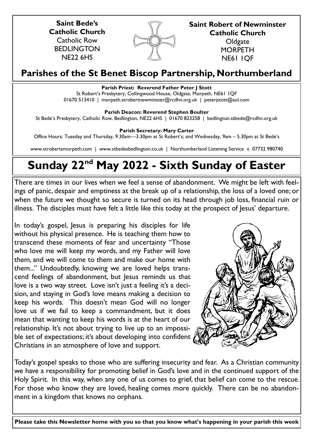**Saint Bede's Catholic Church** Catholic Row BEDLINGTON NE22 6HS



**Saint Robert of Newminster Catholic Church Oldgate MORPETH** 

NE61 1QF

# **Parishes of the St Benet Biscop Partnership, Northumberland**

# **Parish Priest: Reverend Father Peter J Stott**

St Robert's Presbytery, Collingwood House, Oldgate, Morpeth, NE61 1QF 01670 513410 | morpeth.strobertnewminster@rcdhn.org.uk | peterjstott@aol.com

**Parish Deacon: Reverend Stephen Boulter**

St Bede's Presbytery, Catholic Row, Bedlington, NE22 6HS | 01670 823258 | bedlington.stbede@rcdhn.org.uk

**Parish Secretary: Mary Carter** 

Office Hours: Tuesday and Thursday, 9.30am—3.30pm at St Robert's; and Wednesday, 9am – 5.30pm at St Bede's

www.strobertsmorpeth.com | www.stbedesbedlington.co.uk | Northumberland Listening Service | 07732 980740

# **Sunday 22nd May 2022 - Sixth Sunday of Easter**

There are times in our lives when we feel a sense of abandonment. We might be left with feelings of panic, despair and emptiness at the break up of a relationship, the loss of a loved one; or when the future we thought so secure is turned on its head through job loss, financial ruin or illness. The disciples must have felt a little like this today at the prospect of Jesus' departure.

In today's gospel, Jesus is preparing his disciples for life without his physical presence. He is teaching them how to transcend these moments of fear and uncertainty "Those who love me will keep my words, and my Father will love them, and we will come to them and make our home with them..." Undoubtedly, knowing we are loved helps transcend feelings of abandonment, but Jesus reminds us that love is a two way street. Love isn't just a feeling it's a decision, and staying in God's love means making a decision to keep his words. This doesn't mean God will no longer love us if we fail to keep a commandment, but it does mean that wanting to keep his words is at the heart of our relationship. It's not about trying to live up to an impossible set of expectations; it's about developing into confident Christians in an atmosphere of love and support.



Today's gospel speaks to those who are suffering insecurity and fear. As a Christian community we have a responsibility for promoting belief in God's love and in the continued support of the Holy Spirit. In this way, when any one of us comes to grief, that belief can come to the rescue. For those who know they are loved, healing comes more quickly. There can be no abandonment in a kingdom that knows no orphans.

**Please take this Newsletter home with you so that you know what's happening in your parish this week**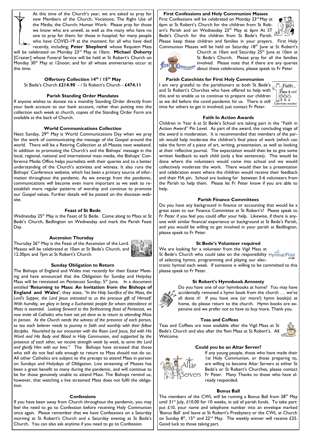At this time of the Church's year, we are asked to pray for new Members of the Church; Vocations; The Right Use of the Media; the Church; Human Work: Please pray for those we know who are unwell, as well as the many who have no one to pray for them; for those in hospital; for many people who have COVID-19 at the moment; for all who have died recently, including; **Peter Shepherd** whose Requiem Mass

will be celebrated on Monday 23rd May at 10am; **Michael Doherty** [Craster] whose Funeral Service will be held at St Robert's Church on Monday 30<sup>th</sup> May at 12noon; and for all whose anniversaries occur at this time.

#### **Offertory Collection 14th / 15th May**

St Bede's Church **£214.90** - / St Robert's Church - **£474.11** 

## **Parish Standing Order Mandates**

If anyone wishes to donate via a monthly Standing Order directly from your bank account to our bank account, rather than putting into the collection each week at church, copies of the Standing Order Form are available at the back of Church.

# **World Communications Collection**

Next Sunday, 29<sup>th</sup> May is World Communications Day when we pray for the work of communicating the message of the Gospel around the world. There will be a Retiring Collection at all Masses next weekend. In addition to promoting the Church's and the Bishops' message in the local, regional, national and international mass media, the Bishops' Conference Media Office helps journalists with their queries and to a better understanding of the Church's activities and witness. It also runs the Bishops' Conference website, which has been a primary source of information throughout the pandemic. As we emerge from the pandemic, communications will become even more important as we seek to reestablish more regular patterns of worship and continue to promote our Gospel values. Further details will be posted on the diocesan website.

## **Feast of St Bede**

Wednesday 25<sup>th</sup> May is the Feast of St Bede. Come along to Mass at St Bede's Church, Bedlington on Wednesday and mark the Parish Feast Day.

#### **Ascension Thursday**

Thursday 26<sup>th</sup> May is the Feast of the Ascension of the Lord. Masses will be celebrated at 10am at St Bede's Church, and 12.30pm and 7pm at St Robert's Church.



#### **Sunday Obligation to Return**

The Bishops of England and Wales met recently for their Easter Meeting and have announced that the Obligation for Sunday and Holyday Mass will be reinstated on Pentecost Sunday,  $5<sup>th</sup>$  June. In a document entitled **'Returning to Mass: An Invitation from the Bishops of England and Wales'**, they state, *"In the Holy Sacrifice of the Mass, the*  Lord's Supper, the Lord Jesus entrusted to us the precious gift of Himself. *With humility, we glory in being a Eucharistic people for whom attendance at Mass is essential. Looking forward to the forthcoming feast of Pentecost, we now invite all Catholics who have not yet done so to return to attending Mass in person. As the Church needs the witness of the presence of each person, so too each believer needs to journey in faith and worship with their fellow disciples. Nourished by our encounter with the Risen Lord Jesus, fed with His Word and His Body and Blood in Holy Communion, and supported by the presence of each other, we receive strength week by week, to serve the Lord and glorify Him with our lives."* The Bishops have stressed that those who still do not feel safe enough to return to Mass should not do so. All other Catholics are subject to the precept to attend Mass in person on Sundays and Holydays of Obligation. Live streaming of Masses has been a great benefit to many during the pandemic, and will continue to be for those genuinely unable to attend Mass. The Bishops remind us, however, that watching a live streamed Mass does not fulfil the obligation.

#### **Confessions**

If you have been away from Church throughout the pandemic, you may feel the need to go to Confession before receiving Holy Communion once again. Please remember that we have Confessions on a Saturday morning at St Robert's Church and a Saturday evening at St Bede's Church. You can also ask anytime if you need to go to Confession.

# **First Confessions and Holy Communion Masses**

First Confessions will be celebrated on Monday 23<sup>rd</sup> May at 6pm at St Robert's Church for the children from St Robert's Parish and on Wednesday 25<sup>th</sup> May at 6pm At ST Bede's Church for the children from St Bede's Parish.



Please keep these children and families in your prayers. First Holy Communion Masses will be held on Saturday 18<sup>th</sup> June at St Robert's



Church at 10am and Saturday 25<sup>th</sup> June at 10am at St Bede's Church. Please pray for all the families involved. Please note that if there are any queries about these celebrations, please speak to Fr Peter

#### **Parish Catechists for First Holy Communion**

I am very grateful to the parishioners at both St Bede's and St Robert's Churches who have offered to help with this and to enable us to continue to prepare our children as we did before the covid pandemic hit us. There is still time for others to get in involved; just contact Fr Peter.



# **Faith In Action Awards**

Children in Year 6 at St Bede's School are taking part in the "Faith in Action Award" Pin Level. As part of the award, the concluding stage of the award is moderation. It is recommended that members of the parish would help moderate the children's final piece of work (which can take the form of a piece of art, writing, presentation, as well as looking at their reflective journal. The expectation would then be to give some written feedback to each child (only a few sentences). This would be done where the volunteers would come into school and we would collectively moderate the work. There would then be a presentation and celebration event where the children would receive their feedback and their FIA pin. School are looking for between 3-6 volunteers from the Parish to help them. Please let Fr Peter know if you are able to help.

# **Parish Finance Committees**

Do you have any background in finance or accounting that would be a great asset to our Finance Committee at St Robert's? Please speak to Fr Peter if you feel you could offer your help. Likewise, if there is anyone with similar financial experience or background at St Bede's Parish, and you would be willing to get involved in your parish at Bedlington, please speak to Fr Peter.

# **St Bede's Volunteer required**

We are looking for a volunteer from the Vigil Mass at St Bede's Church who could take on the responsibility Hymnal Plus' of selecting hymns, programming and playing our electronic hymnal each week. If someone is willing to be committed to this please speak to Fr Peter.

#### **St Robert's Hymnbook Amnesty**



Do you have one of our hymnbooks at home? You may have accidentally removed a hymn book from the church … we've all done it! If you have one (or more!) hymn book(s) at home, do please return to the church. Hymn books are expensive and we prefer not to have to buy more. Thank you.

#### **Teas and Coffees**

Teas and Coffees are now available after the Vigil Mass at St Bede's Church and also after the 9am Mass at St Robert's. All Welcome.



# **Could you be an Altar Server?**



If any young people, those who have made their 1st Holy Communion, or those preparing to, are willing to become Altar Servers at either St Bede's or St Robert's Churches, please contact Fr Peter. Many Thanks to those who have already responded.

#### **Bonus Ball**

The members of the CWL will be running a Bonus Ball from 28<sup>th</sup> May until  $31^{st}$  July, £10.00 for 10 weeks, in aid of parish funds. To take part: put £10, your name and telephone number into an envelope marked 'Bonus Ball' and leave at St Robert's Presbytery or the CWL at Church on Sunday  $8<sup>th</sup>$ , 15<sup>th</sup> and 22<sup>nd</sup> May. The weekly winner will receive £25. Good luck to those taking part.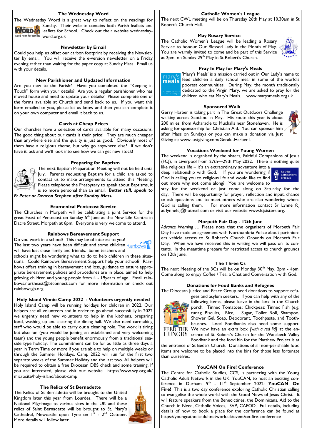# **The Wednesday Word**

The Wednesday Word is a great way to reflect on the readings for Sunday. Their website contains both Parish leaflets and **NORD** Reaflets for School. Check out their website wednesday-Good News for Families word.org.uk

#### **Newsletter by Email**

Could you help us offset our carbon footprint by receiving the Newsletter by email. You will receive the e-version newsletter on a Friday evening rather than waiting for the paper copy at Sunday Mass. Email us with your details.

#### **New Parishioner and Updated Information**

Are you new to the Parish? Have you completed the "Keeping in Touch" form with your details? Are you a regular parishioner who has moved house and need to update your details? Please complete one of the forms available at Church and send back to us. If you want this form emailed to you, please let us know and then you can complete it on your own computer and email it back to us.

#### **Cards at Cheap Prices**

Our churches have a selection of cards available for many occasions. The good thing about our cards is their price! They are much cheaper than anywhere else and the quality is just as good. Obviously most of them have a religious theme, but why go anywhere else? If we don't have it, ask and we'll look into see how we can get new stock!

#### **Preparing for Baptism**



The next Baptism Preparation Meeting will not be held until July. Parents requesting Baptism for a child are asked to contact us to make arrangements to attend this Meeting. Please telephone the Presbytery to speak about Baptisms, it is so more personal than an email. *Better still, speak to Fr Peter or Deacon Stephen after Sunday Mass.*

# **Ecumenical Pentecost Service**

The Churches in Morpeth will be celebrating a joint Service for the great Feast of Pentecost on Sunday 5<sup>th</sup> June at the New Life Centre in Dacre Street, Morpeth at 6pm. Everyone is very welcome to attend.

# **Rainbows Bereavement Support**

Do you work in a school? This may be of interest to you! The last two years have been difficult and some children  $RainboWs$ 



schools might be wondering what to do to help children in these situations. Could Rainbows Bereavement Support help your school? Rainbows offers training in bereavement and loss, guidance to ensure appropriate bereavement policies and procedures are in place, aimed to help grieving children and young people from 4 - 19years of age. Email rainbows.northeast@btconnect.com for more information or check out rainbowsgb.org

#### **Holy Island Vinnie Camp 2022 - Volunteers urgently needed**

Holy Island Camp will be running holidays for children in 2022. Our helpers are all volunteers and in order to go ahead successfully in 2022 we urgently need new volunteers to help in the kitchens, preparing food, washing up and clearing the dining hall. We also need caretaking staff who would be able to carry out a cleaning role. The work is tiring but also fun (you would be joining an established and very welcoming team) and the young people benefit enormously from a traditional seaside type holiday. The commitment can be for as little as three days a year in Term Time or more if you are able to help on multiple weeks or through the Summer Holidays. Camp 2022 will run for the first two separate weeks of the Summer Holiday and the last two. All helpers will be required to obtain a free Diocesan DBS check and some training. If you are interested, please visit our website https://www.svp.org.uk/ microsite/holy-island/about-camp

# **The Relics of St Bernadette**

The Relics of St Bernadette will be brought to the United Kingdom later this year from Lourdes. There will be a National Pilgrimage to various sites in the UK and these relics of Saint Bernadette will be brought to St. Mary's Cathedral, Newcastle upon Tyne on  $I^{st}$  -  $2^{nd}$  October. More details will follow later.



#### **Catholic Women's League**

The next CWL meeting will be on Thursday 26th May at 10.30am in St Robert's Church Hall.

# **May Rosary Service**

The Catholic Women's League will be leading a Rosary Service to honour Our Blessed Lady in the Month of May. You are warmly invited to come and be part of this Service at 2pm, on Sunday 29<sup>th</sup> May in St Robert's Church.



# **Pray In May for Mary's Meals**



'Mary's Meals' is a mission carried out in Our Lady's name to meals feed children a daily school meal in some of the world's poorest communities. During May, the month traditionally dedicated to the Virgin Mary, we are asked to pray for the children who eat Mary's Meals. www.marysmeals.org.uk

#### **Sponsored Walk**

Gerry Harber is taking part in The Great Outdoors Challenge walking across Scotland in May. His route this year is about 200 miles, from Acharacle to Muchalls near Stonehaven. He is asking for sponsorship for Christian Aid. You can sponsor him after Mass on Sundays or you can make a donation via Just Giving at: www.justgiving.com/Gerald-Harber1.



# **Vocations Weekend for Young Women**

The weekend is organised by the sisters, Faithful Companions of Jesus (FCJ), in Liverpool from 27th—29th May 2022. There is nothing quite

like religious life – it's an extraordinary adventure into a deep relationship with God. If you are wondering if  $\mathbb{R}$  saithful God is calling you to religious life and would like to find out more why not come along? You are welcome to



stay for the weekend or just come along on Saturday for the day. There will be opportunity for prayer, reflection and input, chance to ask questions and to meet others who are also wondering where God is calling them. For more information contact Sr Lynne fcj at lynnefcj@hotmail.com or visit our website www.fcjsisters.org.

#### **Morpeth Fair Day - 12th June**

*Advance Warning* … Please note that the organisers of Morpeth Fair Day have made an agreement with Northumbria Police about parishioners vehicle access to St Robert's Church Grounds on Morpeth Fair Day. When we have received this in writing we will pass on its contents. In the meantime prepare for restricted access to church grounds on 12th June.

#### **The Three Cs**

The next Meeting of the  $3Cs$  will be on Monday  $30<sup>th</sup>$  May,  $2pm$  - 4pm. Come along to enjoy Coffee / Tea, a Chat and Conversation with God.

#### **Donations for Food Banks and Refugees**

The Diocesan Justice and Peace Group need donations to support refu-



gees and asylum seekers. If you can help with any of the following items, please leave in the box in the Church porch. Tinned Tomatoes; Chickpeas; Tinned Fish (e.g. tuna); Biscuits, Rice, Sugar, Toilet Roll, Shampoo, Shower Gel, Soap, Deodorant, Toothpaste, and Toothbrushes. Local Foodbanks also need some support. We now have an extra box *[with a red lid]* at the en- $\widetilde{\rm HUNGRY}$  trance of St Robert's Church for the Wansbeck Valley Foodbank and the food bin for the Matthew Project is at

the entrance of St Bede's Church. Donations of all non-perishable food items are welcome to be placed into the bins for those less fortunate than ourselves.

#### **YouCAN On Fire! Conference**

The Centre for Catholic Studies, CCS, is partnering with the Young Catholic Adult Network in the UK, YouCAN, to host an exciting conference in Durham, 9<sup>th</sup> -  $11<sup>th</sup>$  September 2022: **YouCAN On Fire!** This is a two day conference exploring Catholic Christian calling to evangelise the whole world with the Good News of Jesus Christ. It will feature speakers from the Benedictines, the Dominicans, Aid to the Church in Need, Catholic Voices, SVP, CAFOD. Full details, including details of how to book a place for the conference can be found at https://youngcatholicadultnetwork.uk/event/on-fire-conference